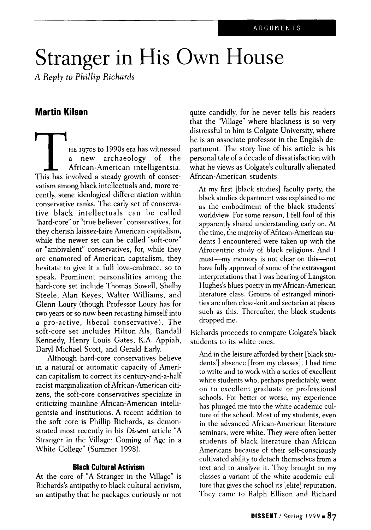## Stranger in His Own House

*A Reply to Phillip Richards*

## **Martin Kilson**

The 1970s to 1990s era has witnessed<br>
a new archaeology of the<br>
African-American intelligentsia.<br>
This has involved a steady growth of conser-HE 197os to 1990s era has witnessed new archaeology of the African-American intelligentsia. vatism among black intellectuals and, more recently, some ideological differentiation within conservative ranks. The early set of conservative black intellectuals can be called "hard-core" or "true believer" conservatives, for they cherish laissez-faire American capitalism, while the newer set can be called "soft-core" or "ambivalent" conservatives, for, while they are enamored of American capitalism, they hesitate to give it a full love-embrace, so to speak. Prominent personalities among the hard-core set include Thomas Sowell, Shelby Steele, Alan Keyes, Walter Williams, and Glenn Loury (though Professor Loury has for two years or so now been recasting himself into a pro-active, liberal conservative). The soft-core set includes Hilton Als, Randall Kennedy, Henry Louis Gates, K.A. Appiah, Daryl Michael Scott, and Gerald Early.

Although hard-core conservatives believe in a natural or automatic capacity of American capitalism to correct its century-and-a-half racist marginalization of African-American citizens, the soft-core conservatives specialize in criticizing mainline African-American intelligentsia and institutions. A recent addition to the soft core is Phillip Richards, as demonstrated most recently in his *Dissent* article "A Stranger in the Village: Coming of Age in a White College" (Summer 1998).

## **Black Cultural Activism**

At the core of "A Stranger in the Village" is Richards's antipathy to black cultural activism, an antipathy that he packages curiously or not quite candidly, for he never tells his readers that the "Village" where blackness is so very distressful to him is Colgate University, where he is an associate professor in the English department. The story line of his article is his personal tale of a decade of dissatisfaction with what he views as Colgate's culturally alienated African-American students:

At my first [black studies] faculty party, the black studies department was explained to me as the embodiment of the black students' worldview. For some reason, I fell foul of this apparently shared understanding early on. At the time, the majority of African-American students I encountered were taken up with the Afrocentric study of black religions. And I must—my memory is not clear on this—not have fully approved of some of the extravagant interpretations that I was hearing of Langston Hughes's blues poetry in my African-American literature class. Groups of estranged minorities are often close-knit and sectarian at places such as this. Thereafter, the black students dropped me.

Richards proceeds to compare Colgate's black students to its white ones.

And in the leisure afforded by their [black students'] absence [from my classes], I had time to write and to work with a series of excellent white students who, perhaps predictably, went on to excellent graduate or professional schools. For better or worse, my experience has plunged me into the white academic culture of the school. Most of my students, even in the advanced African-American literature seminars, were white. They were often better students of black literature than African Americans because of their self-consciously cultivated ability to detach themselves from a text and to analyze it. They brought to my classes a variant of the white academic culture that gives the school its [elite] reputation. They came to Ralph Ellison and Richard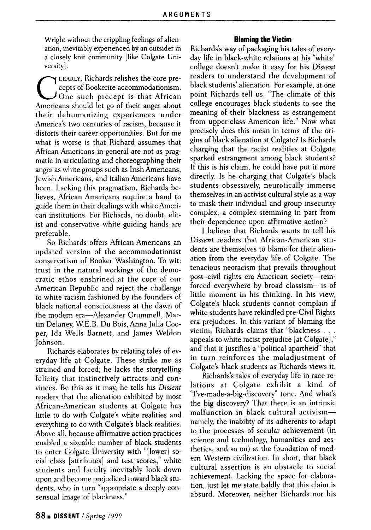Wright without the crippling feelings of alienation, inevitably experienced by an outsider in a closely knit community [like Colgate University].

C Americans should let go of their anger about LEARLY, Richards relishes the core precepts of Bookerite accommodationism.  $J$ One such precept is that African their dehumanizing experiences under America's two centuries of racism, because it distorts their career opportunities. But for me what is worse is that Richard assumes that African Americans in general are not as pragmatic in articulating and choreographing their anger as white groups such as Irish Americans, Jewish Americans, and Italian Americans have been. Lacking this pragmatism, Richards believes, African Americans require a hand to guide them in their dealings with white American institutions. For Richards, no doubt, elitist and conservative white guiding hands are preferable.

So Richards offers African Americans an updated version of the accommodationist conservatism of Booker Washington. To wit: trust in the natural workings of the democratic ethos enshrined at the core of our American Republic and reject the challenge to white racism fashioned by the founders of black national consciousness at the dawn of the modern era—Alexander Crummell, Martin Delaney, W.E.B. Du Bois, Anna Julia Cooper, Ida Wells Barnett, and James Weldon Johnson.

Richards elaborates by relating tales of everyday life at Colgate. These strike me as strained and forced; he lacks the storytelling felicity that instinctively attracts and convinces. Be this as it may, he tells his *Dissent* readers that the alienation exhibited by most African-American students at Colgate has little to do with Colgate's white realities and everything to do with Colgate's black realities. Above all, because affirmative action practices enabled a sizeable number of black students to enter Colgate University with "[lower] social class [attributes] and test scores," white students and faculty inevitably look down upon and become prejudiced toward black students, who in turn "appropriate a deeply consensual image of blackness."

## **Blaming the Victim**

Richards's way of packaging his tales of everyday life in black-white relations at his "white" college doesn't make it easy for his Dissent readers to understand the development of black students' alienation. For example, at one point Richards tell us: "The climate of this college encourages black students to see the meaning of their blackness as estrangement from upper-class American life." Now what precisely does this mean in terms of the origins of black alienation at Colgate? Is Richards charging that the racist realities at Colgate sparked estrangment among black students? If this is his claim, he could have put it more directly. Is he charging that Colgate's black students obsessively, neurotically immerse themselves in an activist cultural style as a way to mask their individual and group insecurity complex, a complex stemming in part from their dependence upon affirmative action?

I believe that Richards wants to tell his Dissent readers that African-American students are themselves to blame for their alienation from the everyday life of Colgate. The tenacious neoracism that prevails throughout post—civil rights era American society—reinforced everywhere by broad classism—is of little moment in his thinking. In his view, Colgate's black students cannot complain if white students have rekindled pre-Civil Rights era prejudices. In this variant of blaming the victim, Richards claims that "blackness .. . appeals to white racist prejudice [at Colgate]," and that it justifies a "political apartheid" that in turn reinforces the maladjustment of Colgate's black students as Richards views it.

Richards's tales of everyday life in race relations at Colgate exhibit a kind of "I've-made-a-big-discovery" tone. And what's the big discovery? That there is an intrinsic malfunction in black cultural activism namely, the inability of its adherents to adapt to the processes of secular achievement (in science and technology, humanities and aesthetics, and so on) at the foundation of modern Western civilization. In short, that black cultural assertion is an obstacle to social achievement. Lacking the space for elaboration, just let me state baldly that this claim is absurd. Moreover, neither Richards nor his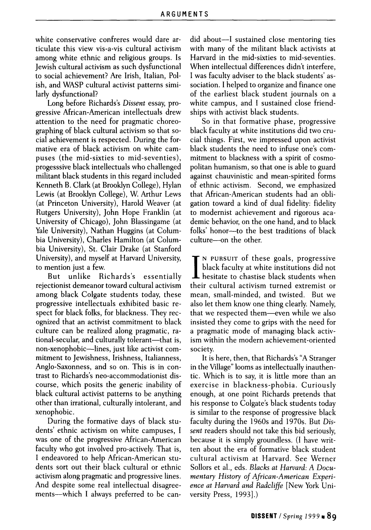white conservative confreres would dare articulate this view vis-a-vis cultural activism among white ethnic and religious groups. Is Jewish cultural activism as such dysfunctional to social achievement? Are Irish, Italian, Polish, and WASP cultural activist patterns similarly dysfunctional?

Long before Richards's *Dissent* essay, progressive African-American intellectuals drew attention to the need for pragmatic choreographing of black cultural activism so that social achievement is respected. During the formative era of black activism on white campuses (the mid-sixties to mid-seventies), progesssive black intellectuals who challenged militant black students in this regard included Kenneth B. Clark (at Brooklyn College), Hylan Lewis (at Brooklyn College), W. Arthur Lews (at Princeton University), Harold Weaver (at Rutgers University), John Hope Franklin (at University of Chicago), John Blassingame (at Yale University), Nathan Huggins (at Columbia University), Charles Hamilton (at Columbia University), St. Clair Drake (at Stanford University), and myself at Harvard University, to mention just a few.

But unlike Richards's essentially rejectionist demeanor toward cultural activism among black Colgate students today, these progressive intellectuals exhibited basic respect for black folks, for blackness. They recognized that an activist commitment to black culture can be realized along pragmatic, rational-secular, and culturally tolerant—that is, non-xenophobic—lines, just like activist commitment to Jewishness, Irishness, Italianness, Anglo-Saxonness, and so on. This is in contrast to Richards's neo-accommodationist discourse, which posits the generic inability of black cultural activist patterns to be anything other than irrational, culturally intolerant, and xenophobic.

During the formative days of black students' ethnic activism on white campuses, I was one of the progressive African-American faculty who got involved pro-actively. That is, I endeavored to help African-American students sort out their black cultural or ethnic activism along pragmatic and progressive lines. And despite some real intellectual disagreements—which I always preferred to be candid about—I sustained close mentoring ties with many of the militant black activists at Harvard in the mid-sixties to mid-seventies. When intellectual differences didn't interfere, I was faculty adviser to the black students' association. I helped to organize and finance one of the earliest black student journals on a white campus, and I sustained close friendships with activist black students.

So in that formative phase, progressive black faculty at white institutions did two crucial things. First, we impressed upon activist black students the need to infuse one's commitment to blackness with a spirit of cosmopolitan humanism, so that one is able to guard against chauvinistic and mean-spirited forms of ethnic activism. Second, we emphasized that African-American students had an obligation toward a kind of dual fidelity: fidelity to modernist achievement and rigorous academic behavior, on the one hand, and to black folks' honor—to the best traditions of black culture—on the other.

I N PURSUIT of these goals, progressive black faculty at white institutions did not hesitate to chastise black students when their cultural activism turned extremist or mean, small-minded, and twisted. But we also let them know one thing clearly. Namely, that we respected them—even while we also insisted they come to grips with the need for a pragmatic mode of managing black activism within the modern achievement-oriented society.

It is here, then, that Richards's "A Stranger in the Village" looms as intellectually inauthentic. Which is to say, it is little more than an exercise in blackness-phobia. Curiously enough, at one point Richards pretends that his response to Colgate's black students today is similar to the response of progressive black faculty during the 1960s and 1970s. But *Dissent* readers should not take this bid seriously, because it is simply groundless. (I have written about the era of formative black student cultural activism at Harvard. See Werner Sollors et al., eds. *Blacks at Harvard: A Documentary History of African-American Experience at Harvard and Radcliffe* [New York University Press, 1993].)